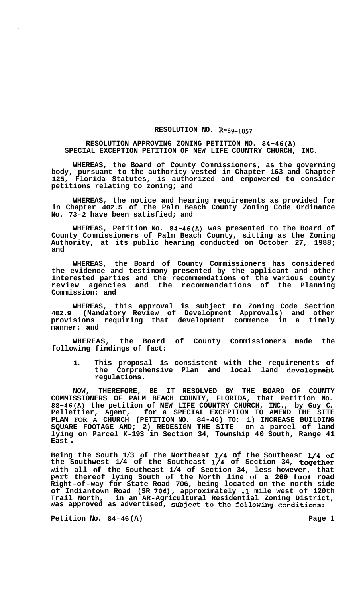## **RESOLUTION NO. R-89-1057**

## **RESOLUTION APPROVING ZONING PETITION NO. 84-46(A) SPECIAL EXCEPTION PETITION OF NEW LIFE COUNTRY CHURCH, INC.**

**WHEREAS, the Board of County Commissioners, as the governing body, pursuant to the authority vested in Chapter 163 and Chapter 125, Florida Statutes, is authorized and empowered to consider petitions relating to zoning; and** 

**WHEREAS, the notice and hearing requirements as provided for in Chapter 402.5 of the Palm Beach County Zoning Code Ordinance No. 73-2 have been satisfied; and** 

**WHEREAS, Petition No. 84-46(A) was presented to the Board of County Commissioners of Palm Beach County, sitting as the Zoning Authority, at its public hearing conducted on October 27, 1988; and** 

**WHEREAS, the Board of County Commissioners has considered the evidence and testimony presented by the applicant and other interested parties and the recommendations of the various county review agencies and the recommendations of the Planning Commission; and** 

**WHEREAS, this approval is subject to Zoning Code Section 402.9 (Mandatory Review of Development Approvals) and other provisions requiring that development commence in a timely manner; and** 

**WHEREAS, the Board of County Commissioners made the following findings of fact:** 

**1. This proposal is consistent with the requirements of the Comprehensive Plan and local land developmeht regulations.** 

**NOW, THEREFORE, BE IT RESOLVED BY THE BOARD OF COUNTY COMMISSIONERS OF PALM BEACH COUNTY, FLORIDA, that Petition No. 88-46(A) the petition of NEW LIFE COUNTRY CHURCH, INC., by Guy C. Pellettier, Agent, for a SPECIAL EXCEPTION TO AMEND THE SITE PLAN FOR A CHURCH (PETITION NO. 84-46) TO: 1) INCREASE BUILDING SQUARE FOOTAGE AND; 2) REDESIGN THE SITE on a parcel of land lying on Parcel K-193 in Section 34, Township 40 South, Range 41 East** .

Being the South 1/3 of the Northeast 1/4 of the Southeast 1/4 of **the Southwest 1/4 of the Southeast 1/4 of Section 34, together with all of the Southeast 1/4 of Section 34, less however, that part thereof lying South of the North line** of **a 200 foot road Right-of-way for State Road 706, being located on the north side of Indiantown Road (SR** *706),* **approximately .1 mile west of 120th Trail North, in an AR-Agricultural Residential Zoning District, was approved as advertised, subject to the following conditions:** 

Petition No. 84-46(A) **Petition No. 84-46(A)**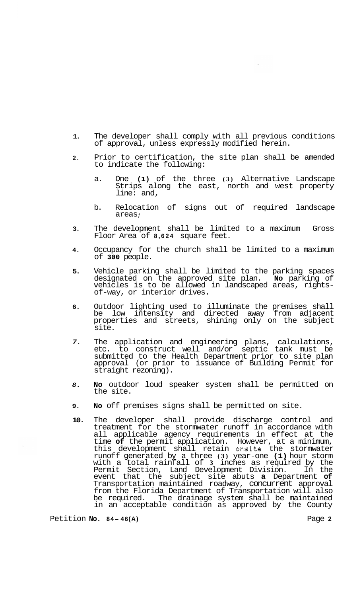- **1.**  The developer shall comply with all previous conditions of approval, unless expressly modified herein.
- **2.**  Prior to certification, the site plan shall be amended to indicate the following:
	- a. One **(1)** of the three **(3)** Alternative Landscape Strips along the east, north and west property line: and,
	- b. Relocation of signs out of required landscape areas :
- **3.**  The development shall be limited to a maximum Gross Floor Area of **8,624** square feet.
- **4.**  Occupancy for the church shall be limited to a maximum of **300** people.
- **5.**  Vehicle parking shall be limited to the parking spaces designated on the approved site plan. No parking of designated on the approved site plan. **No** parking of vehicles is to be allowed in landscaped areas, rightsof-way, or interior drives.
- **6.**  Outdoor lighting used to illuminate the premises shall be low intensity and directed away from adjacent properties and streets, shining only on the subject site.
- *7.*  The application and engineering plans, calculations, etc. to construct well and/or septic tank must be submitted to the Health Department prior to site plan approval (or prior to issuance of Building Permit for straight rezoning).
- *8.*  **No** outdoor loud speaker system shall be permitted on the site.
- **9. No** off premises signs shall be permitted on site.
- **10.**  The developer shall provide discharge control and treatment for the stormwater runoff in accordance with all applicable agency requirements in effect at the time **of** the permit application. However, at a minimum, this development shall retain onsite the stormwater runoff generated by a three **(3)** year-one **(1)** hour storm with a total rainfall of **3** inches as required by the Permit Section, Land Development Division. In the event that the subject site abuts **a** Department **of**  Transportation maintained roadway, concurrent approval from the Florida Department of Transportation will also be required. The drainage system shall be maintained in an acceptable condition as approved by the County

Petition **No. 8 4- 46 (A)** Page **<sup>2</sup>**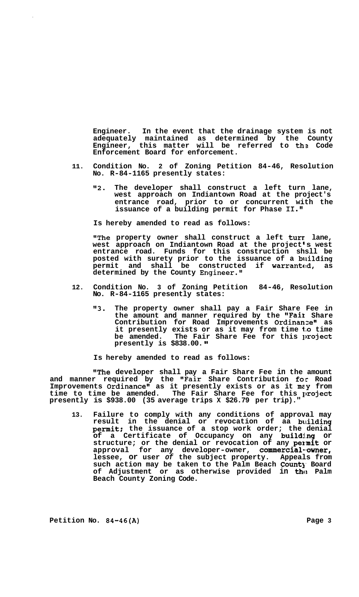**Engineer. In the event that the drainage system is not adequately maintained as determined by the County Engineer, this matter will be referred to ths Code Enforcement Board for enforcement.** 

- **11. Condition No. 2 of Zoning Petition 84-46, Resolution No. R-84-1165 presently states:** 
	- **"2. The developer shall construct a left turn lane, west approach on Indiantown Road at the project's entrance road, prior to or concurrent with the issuance of a building permit for Phase 11."**

**Is hereby amended to read as follows:** 

**"The property owner shall construct a left turr lane,**  west approach on Indiantown Road at the project<sup>'</sup>s west **entrance road. Funds for this construction shsll be posted with surety prior to the issuance of a bllilding permit and shall be constructed if warrante!d, as determined by the County Engineer."** 

- **12. Condition No. 3 of Zoning Petition 84-46, Resolution No. R-84-1165 presently states:** 
	- **"3. The property owner shall pay a Fair Share Fee in the amount and manner required by the '\*Faiz Share**  Contribution for Road Improvements Ordinanze" as **it presently exists or as it may from time t:o time**  be amended. The Fair Share Fee for this project **presently is \$838.00.**

**Is hereby amended to read as follows:** 

**"The developer shall pay a Fair Share Fee in the amount and manner required by the "Fair Share Contribution for Road Improvements Ordinance" as it presently exists or as it mey from**  time to time be amended. The Fair Share Fee for this project **presently is \$938.00 (35 average trips X \$26.79 per trip)."** 

**13. Failure to comply with any conditions of approval may result in the denial or revocation of aa blilding permit; the issuance of a stop work order; the denial of a Certificate of Occupancy on any buildj.ng or**  structure; or the denial or revocation of any permit or **approval for any developer-owner, commercial-.owner, lessee, or user** *of* **the subject property. Appeals from**  such action may be taken to the Palm Beach County Board **of Adjustment or as otherwise provided in** tho **Palm Beach County Zoning Code.**